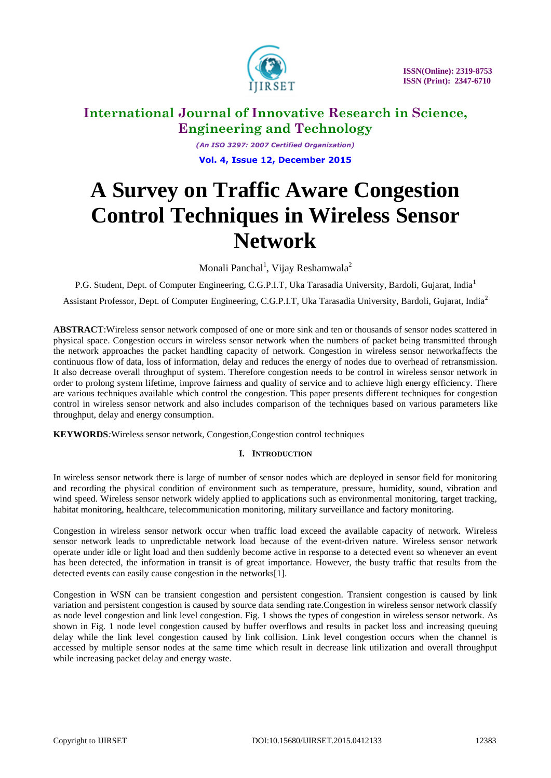

*(An ISO 3297: 2007 Certified Organization)* **Vol. 4, Issue 12, December 2015**

# **A Survey on Traffic Aware Congestion Control Techniques in Wireless Sensor Network**

Monali Panchal<sup>1</sup>, Vijay Reshamwala<sup>2</sup>

P.G. Student, Dept. of Computer Engineering, C.G.P.I.T, Uka Tarasadia University, Bardoli, Gujarat, India<sup>1</sup>

Assistant Professor, Dept. of Computer Engineering, C.G.P.I.T, Uka Tarasadia University, Bardoli, Gujarat, India<sup>2</sup>

**ABSTRACT**:Wireless sensor network composed of one or more sink and ten or thousands of sensor nodes scattered in physical space. Congestion occurs in wireless sensor network when the numbers of packet being transmitted through the network approaches the packet handling capacity of network. Congestion in wireless sensor networkaffects the continuous flow of data, loss of information, delay and reduces the energy of nodes due to overhead of retransmission. It also decrease overall throughput of system. Therefore congestion needs to be control in wireless sensor network in order to prolong system lifetime, improve fairness and quality of service and to achieve high energy efficiency. There are various techniques available which control the congestion. This paper presents different techniques for congestion control in wireless sensor network and also includes comparison of the techniques based on various parameters like throughput, delay and energy consumption.

**KEYWORDS***:*Wireless sensor network, Congestion,Congestion control techniques

# **I. INTRODUCTION**

In wireless sensor network there is large of number of sensor nodes which are deployed in sensor field for monitoring and recording the physical condition of environment such as temperature, pressure, humidity, sound, vibration and wind speed. Wireless sensor network widely applied to applications such as environmental monitoring, target tracking, habitat monitoring, healthcare, telecommunication monitoring, military surveillance and factory monitoring.

Congestion in wireless sensor network occur when traffic load exceed the available capacity of network. Wireless sensor network leads to unpredictable network load because of the event-driven nature. Wireless sensor network operate under idle or light load and then suddenly become active in response to a detected event so whenever an event has been detected, the information in transit is of great importance. However, the busty traffic that results from the detected events can easily cause congestion in the networks[1].

Congestion in WSN can be transient congestion and persistent congestion. Transient congestion is caused by link variation and persistent congestion is caused by source data sending rate.Congestion in wireless sensor network classify as node level congestion and link level congestion. Fig. 1 shows the types of congestion in wireless sensor network. As shown in Fig. 1 node level congestion caused by buffer overflows and results in packet loss and increasing queuing delay while the link level congestion caused by link collision. Link level congestion occurs when the channel is accessed by multiple sensor nodes at the same time which result in decrease link utilization and overall throughput while increasing packet delay and energy waste.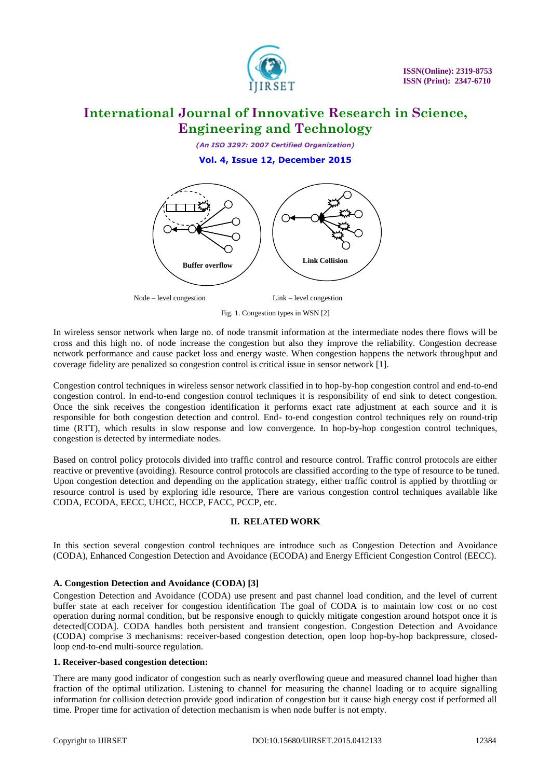

*(An ISO 3297: 2007 Certified Organization)* **Vol. 4, Issue 12, December 2015**



Node – level congestion Link – level congestion

Fig. 1. Congestion types in WSN [2]

In wireless sensor network when large no. of node transmit information at the intermediate nodes there flows will be cross and this high no. of node increase the congestion but also they improve the reliability. Congestion decrease network performance and cause packet loss and energy waste. When congestion happens the network throughput and coverage fidelity are penalized so congestion control is critical issue in sensor network [1].

Congestion control techniques in wireless sensor network classified in to hop-by-hop congestion control and end-to-end congestion control. In end-to-end congestion control techniques it is responsibility of end sink to detect congestion. Once the sink receives the congestion identification it performs exact rate adjustment at each source and it is responsible for both congestion detection and control. End- to-end congestion control techniques rely on round-trip time (RTT), which results in slow response and low convergence. In hop-by-hop congestion control techniques, congestion is detected by intermediate nodes.

Based on control policy protocols divided into traffic control and resource control. Traffic control protocols are either reactive or preventive (avoiding). Resource control protocols are classified according to the type of resource to be tuned. Upon congestion detection and depending on the application strategy, either traffic control is applied by throttling or resource control is used by exploring idle resource, There are various congestion control techniques available like CODA, ECODA, EECC, UHCC, HCCP, FACC, PCCP, etc.

### **II. RELATED WORK**

In this section several congestion control techniques are introduce such as Congestion Detection and Avoidance (CODA), Enhanced Congestion Detection and Avoidance (ECODA) and Energy Efficient Congestion Control (EECC).

### **A. Congestion Detection and Avoidance (CODA) [3]**

Congestion Detection and Avoidance (CODA) use present and past channel load condition, and the level of current buffer state at each receiver for congestion identification The goal of CODA is to maintain low cost or no cost operation during normal condition, but be responsive enough to quickly mitigate congestion around hotspot once it is detected[CODA]. CODA handles both persistent and transient congestion. Congestion Detection and Avoidance (CODA) comprise 3 mechanisms: receiver-based congestion detection, open loop hop-by-hop backpressure, closedloop end-to-end multi-source regulation.

#### **1. Receiver-based congestion detection:**

There are many good indicator of congestion such as nearly overflowing queue and measured channel load higher than fraction of the optimal utilization. Listening to channel for measuring the channel loading or to acquire signalling information for collision detection provide good indication of congestion but it cause high energy cost if performed all time. Proper time for activation of detection mechanism is when node buffer is not empty.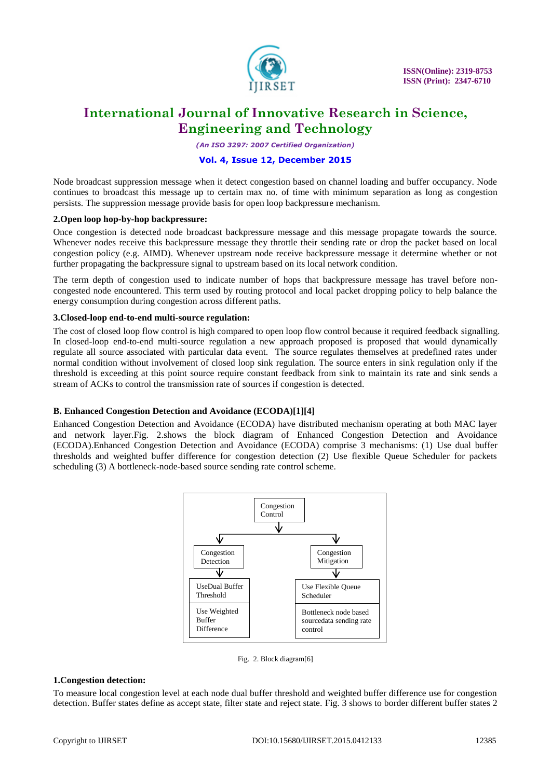

*(An ISO 3297: 2007 Certified Organization)*

### **Vol. 4, Issue 12, December 2015**

Node broadcast suppression message when it detect congestion based on channel loading and buffer occupancy. Node continues to broadcast this message up to certain max no. of time with minimum separation as long as congestion persists. The suppression message provide basis for open loop backpressure mechanism.

#### **2.Open loop hop-by-hop backpressure:**

Once congestion is detected node broadcast backpressure message and this message propagate towards the source. Whenever nodes receive this backpressure message they throttle their sending rate or drop the packet based on local congestion policy (e.g. AIMD). Whenever upstream node receive backpressure message it determine whether or not further propagating the backpressure signal to upstream based on its local network condition.

The term depth of congestion used to indicate number of hops that backpressure message has travel before noncongested node encountered. This term used by routing protocol and local packet dropping policy to help balance the energy consumption during congestion across different paths.

#### **3.Closed-loop end-to-end multi-source regulation:**

The cost of closed loop flow control is high compared to open loop flow control because it required feedback signalling. In closed-loop end-to-end multi-source regulation a new approach proposed is proposed that would dynamically regulate all source associated with particular data event. The source regulates themselves at predefined rates under normal condition without involvement of closed loop sink regulation. The source enters in sink regulation only if the threshold is exceeding at this point source require constant feedback from sink to maintain its rate and sink sends a stream of ACKs to control the transmission rate of sources if congestion is detected.

#### **B. Enhanced Congestion Detection and Avoidance (ECODA)[1][4]**

Enhanced Congestion Detection and Avoidance (ECODA) have distributed mechanism operating at both MAC layer and network layer.Fig. 2.shows the block diagram of Enhanced Congestion Detection and Avoidance (ECODA).Enhanced Congestion Detection and Avoidance (ECODA) comprise 3 mechanisms: (1) Use dual buffer thresholds and weighted buffer difference for congestion detection (2) Use flexible Queue Scheduler for packets scheduling (3) A bottleneck-node-based source sending rate control scheme.



Fig. 2. Block diagram[6]

#### **1.Congestion detection:**

To measure local congestion level at each node dual buffer threshold and weighted buffer difference use for congestion detection. Buffer states define as accept state, filter state and reject state. Fig. 3 shows to border different buffer states 2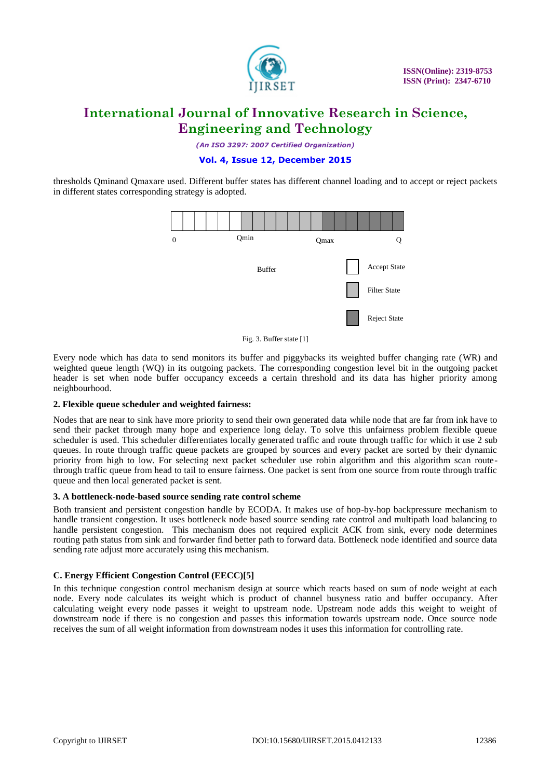

*(An ISO 3297: 2007 Certified Organization)*

### **Vol. 4, Issue 12, December 2015**

thresholds Qminand Qmaxare used. Different buffer states has different channel loading and to accept or reject packets in different states corresponding strategy is adopted.



Fig. 3. Buffer state [1]

Every node which has data to send monitors its buffer and piggybacks its weighted buffer changing rate (WR) and weighted queue length (WQ) in its outgoing packets. The corresponding congestion level bit in the outgoing packet header is set when node buffer occupancy exceeds a certain threshold and its data has higher priority among neighbourhood.

### **2. Flexible queue scheduler and weighted fairness:**

Nodes that are near to sink have more priority to send their own generated data while node that are far from ink have to send their packet through many hope and experience long delay. To solve this unfairness problem flexible queue scheduler is used. This scheduler differentiates locally generated traffic and route through traffic for which it use 2 sub queues. In route through traffic queue packets are grouped by sources and every packet are sorted by their dynamic priority from high to low. For selecting next packet scheduler use robin algorithm and this algorithm scan routethrough traffic queue from head to tail to ensure fairness. One packet is sent from one source from route through traffic queue and then local generated packet is sent.

#### **3. A bottleneck-node-based source sending rate control scheme**

Both transient and persistent congestion handle by ECODA. It makes use of hop-by-hop backpressure mechanism to handle transient congestion. It uses bottleneck node based source sending rate control and multipath load balancing to handle persistent congestion. This mechanism does not required explicit ACK from sink, every node determines routing path status from sink and forwarder find better path to forward data. Bottleneck node identified and source data sending rate adjust more accurately using this mechanism.

### **C. Energy Efficient Congestion Control (EECC)[5]**

In this technique congestion control mechanism design at source which reacts based on sum of node weight at each node. Every node calculates its weight which is product of channel busyness ratio and buffer occupancy. After calculating weight every node passes it weight to upstream node. Upstream node adds this weight to weight of downstream node if there is no congestion and passes this information towards upstream node. Once source node receives the sum of all weight information from downstream nodes it uses this information for controlling rate.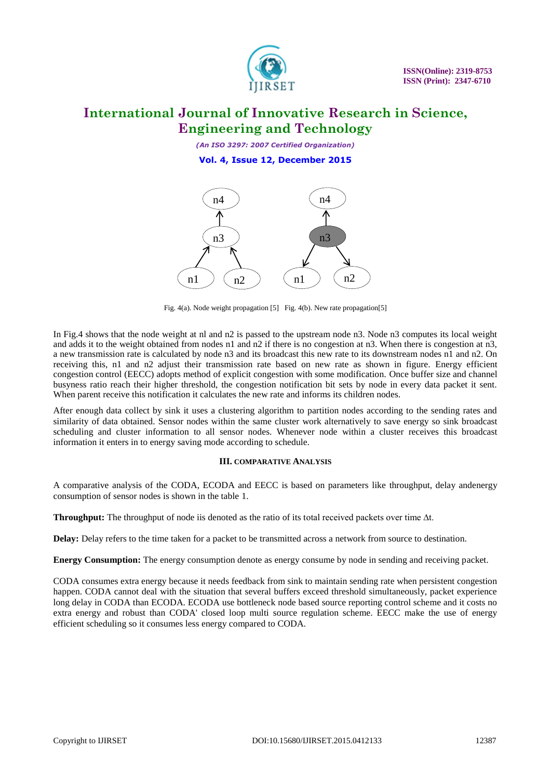

*(An ISO 3297: 2007 Certified Organization)* **Vol. 4, Issue 12, December 2015**



Fig. 4(a). Node weight propagation [5] Fig. 4(b). New rate propagation[5]

In Fig.4 shows that the node weight at nl and n2 is passed to the upstream node n3. Node n3 computes its local weight and adds it to the weight obtained from nodes n1 and n2 if there is no congestion at n3. When there is congestion at n3, a new transmission rate is calculated by node n3 and its broadcast this new rate to its downstream nodes n1 and n2. On receiving this, n1 and n2 adjust their transmission rate based on new rate as shown in figure. Energy efficient congestion control (EECC) adopts method of explicit congestion with some modification. Once buffer size and channel busyness ratio reach their higher threshold, the congestion notification bit sets by node in every data packet it sent. When parent receive this notification it calculates the new rate and informs its children nodes.

After enough data collect by sink it uses a clustering algorithm to partition nodes according to the sending rates and similarity of data obtained. Sensor nodes within the same cluster work alternatively to save energy so sink broadcast scheduling and cluster information to all sensor nodes. Whenever node within a cluster receives this broadcast information it enters in to energy saving mode according to schedule.

### **III. COMPARATIVE ANALYSIS**

A comparative analysis of the CODA, ECODA and EECC is based on parameters like throughput, delay andenergy consumption of sensor nodes is shown in the table 1.

**Throughput:** The throughput of node iis denoted as the ratio of its total received packets over time ∆t.

**Delay:** Delay refers to the time taken for a packet to be transmitted across a network from source to destination.

**Energy Consumption:** The energy consumption denote as energy consume by node in sending and receiving packet.

CODA consumes extra energy because it needs feedback from sink to maintain sending rate when persistent congestion happen. CODA cannot deal with the situation that several buffers exceed threshold simultaneously, packet experience long delay in CODA than ECODA. ECODA use bottleneck node based source reporting control scheme and it costs no extra energy and robust than CODA' closed loop multi source regulation scheme. EECC make the use of energy efficient scheduling so it consumes less energy compared to CODA.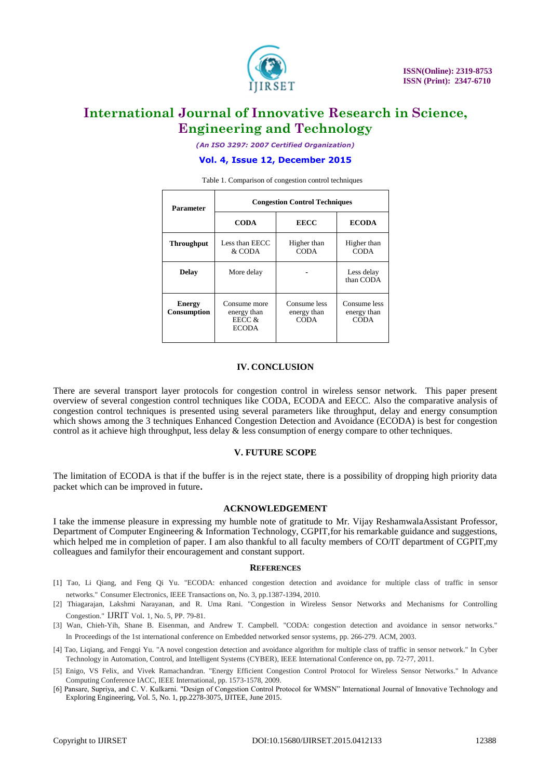

*(An ISO 3297: 2007 Certified Organization)*

#### **Vol. 4, Issue 12, December 2015**

**Parameter Congestion Control Techniques CODA EECC ECODA Throughput** Less than EECC & CODA Higher than **CODA** Higher than **CODA Delay** More delay **-** Less delay than CODA **Energy Consumption** Consume more energy than EECC & ECODA Consume less energy than CODA Consume less energy than **CODA** 

Table 1. Comparison of congestion control techniques

#### **IV. CONCLUSION**

There are several transport layer protocols for congestion control in wireless sensor network. This paper present overview of several congestion control techniques like CODA, ECODA and EECC. Also the comparative analysis of congestion control techniques is presented using several parameters like throughput, delay and energy consumption which shows among the 3 techniques Enhanced Congestion Detection and Avoidance (ECODA) is best for congestion control as it achieve high throughput, less delay & less consumption of energy compare to other techniques.

#### **V. FUTURE SCOPE**

The limitation of ECODA is that if the buffer is in the reject state, there is a possibility of dropping high priority data packet which can be improved in future**.** 

#### **ACKNOWLEDGEMENT**

I take the immense pleasure in expressing my humble note of gratitude to Mr. Vijay ReshamwalaAssistant Professor, Department of Computer Engineering & Information Technology, CGPIT,for his remarkable guidance and suggestions, which helped me in completion of paper. I am also thankful to all faculty members of CO/IT department of CGPIT, my colleagues and familyfor their encouragement and constant support.

#### **REFERENCES**

- [1] Tao, Li Qiang, and Feng Qi Yu. "ECODA: enhanced congestion detection and avoidance for multiple class of traffic in sensor networks." Consumer Electronics, IEEE Transactions on, No. 3, pp.1387-1394, 2010.
- [2] Thiagarajan, Lakshmi Narayanan, and R. Uma Rani. "Congestion in Wireless Sensor Networks and Mechanisms for Controlling Congestion." IJRIT Vol. 1, No. 5, PP. 79-81.
- [3] Wan, Chieh-Yih, Shane B. Eisenman, and Andrew T. Campbell. "CODA: congestion detection and avoidance in sensor networks." In Proceedings of the 1st international conference on Embedded networked sensor systems, pp. 266-279. ACM, 2003.
- [4] Tao, Liqiang, and Fengqi Yu. "A novel congestion detection and avoidance algorithm for multiple class of traffic in sensor network." In Cyber Technology in Automation, Control, and Intelligent Systems (CYBER), IEEE International Conference on, pp. 72-77, 2011.
- [5] Enigo, VS Felix, and Vivek Ramachandran. "Energy Efficient Congestion Control Protocol for Wireless Sensor Networks." In Advance Computing Conference IACC, IEEE International, pp. 1573-1578, 2009.
- [6] Pansare, Supriya, and C. V. Kulkarni. "Design of Congestion Control Protocol for WMSN" International Journal of Innovative Technology and Exploring Engineering, Vol. 5, No. 1, pp.2278-3075, IJITEE, June 2015.